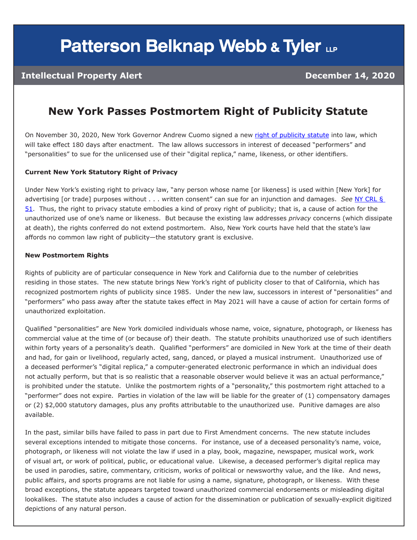# **Patterson Belknap Webb & Tyler LLP**

#### **Intellectual Property Alert December 14, 2020**

### **New York Passes Postmortem Right of Publicity Statute**

On November 30, 2020, New York Governor Andrew Cuomo signed a new [right of publicity statute](https://legislation.nysenate.gov/pdf/bills/2019/S5959D) into law, which will take effect 180 days after enactment. The law allows successors in interest of deceased "performers" and "personalities" to sue for the unlicensed use of their "digital replica," name, likeness, or other identifiers.

#### **Current New York Statutory Right of Privacy**

Under New York's existing right to privacy law, "any person whose name [or likeness] is used within [New York] for advertising [or trade] purposes without . . . written consent" can sue for an injunction and damages. *See* [NY CRL §](https://law.justia.com/codes/new-york/2014/cvr/article-5/51/)  [51](https://law.justia.com/codes/new-york/2014/cvr/article-5/51/). Thus, the right to privacy statute embodies a kind of proxy right of publicity; that is, a cause of action for the unauthorized use of one's name or likeness. But because the existing law addresses *privacy* concerns (which dissipate at death), the rights conferred do not extend postmortem. Also, New York courts have held that the state's law affords no common law right of publicity—the statutory grant is exclusive.

#### **New Postmortem Rights**

Rights of publicity are of particular consequence in New York and California due to the number of celebrities residing in those states. The new statute brings New York's right of publicity closer to that of California, which has recognized postmortem rights of publicity since 1985. Under the new law, successors in interest of "personalities" and "performers" who pass away after the statute takes effect in May 2021 will have a cause of action for certain forms of unauthorized exploitation.

Qualified "personalities" are New York domiciled individuals whose name, voice, signature, photograph, or likeness has commercial value at the time of (or because of) their death. The statute prohibits unauthorized use of such identifiers within forty years of a personality's death. Qualified "performers" are domiciled in New York at the time of their death and had, for gain or livelihood, regularly acted, sang, danced, or played a musical instrument. Unauthorized use of a deceased performer's "digital replica," a computer-generated electronic performance in which an individual does not actually perform, but that is so realistic that a reasonable observer would believe it was an actual performance," is prohibited under the statute. Unlike the postmortem rights of a "personality," this postmortem right attached to a "performer" does not expire. Parties in violation of the law will be liable for the greater of (1) compensatory damages or (2) \$2,000 statutory damages, plus any profits attributable to the unauthorized use. Punitive damages are also available.

In the past, similar bills have failed to pass in part due to First Amendment concerns. The new statute includes several exceptions intended to mitigate those concerns. For instance, use of a deceased personality's name, voice, photograph, or likeness will not violate the law if used in a play, book, magazine, newspaper, musical work, work of visual art, or work of political, public, or educational value. Likewise, a deceased performer's digital replica may be used in parodies, satire, commentary, criticism, works of political or newsworthy value, and the like. And news, public affairs, and sports programs are not liable for using a name, signature, photograph, or likeness. With these broad exceptions, the statute appears targeted toward unauthorized commercial endorsements or misleading digital lookalikes. The statute also includes a cause of action for the dissemination or publication of sexually-explicit digitized depictions of any natural person.